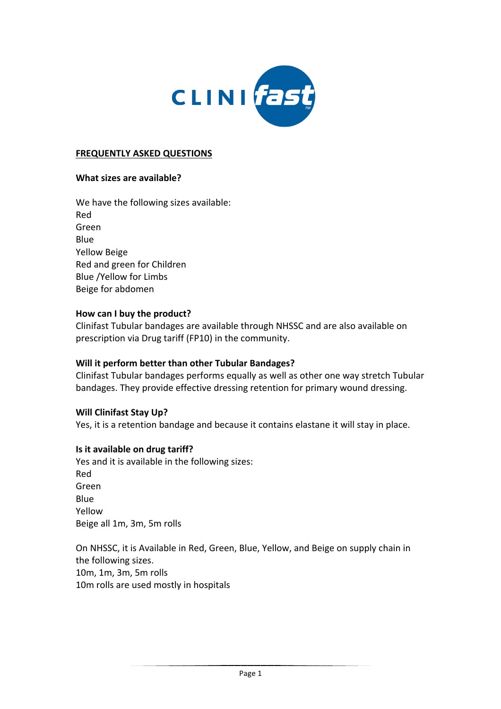

## **FREQUENTLY ASKED QUESTIONS**

### **What sizes are available?**

We have the following sizes available: Red Green Blue Yellow Beige Red and green for Children Blue /Yellow for Limbs Beige for abdomen

#### How can I buy the product?

Clinifast Tubular bandages are available through NHSSC and are also available on prescription via Drug tariff (FP10) in the community.

### **Will it perform better than other Tubular Bandages?**

Clinifast Tubular bandages performs equally as well as other one way stretch Tubular bandages. They provide effective dressing retention for primary wound dressing.

### **Will Clinifast Stay Up?**

Yes, it is a retention bandage and because it contains elastane it will stay in place.

### **Is it available on drug tariff?**

Yes and it is available in the following sizes: Red Green Blue Yellow Beige all 1m, 3m, 5m rolls

On NHSSC, it is Available in Red, Green, Blue, Yellow, and Beige on supply chain in the following sizes. 10m, 1m, 3m, 5m rolls 10m rolls are used mostly in hospitals